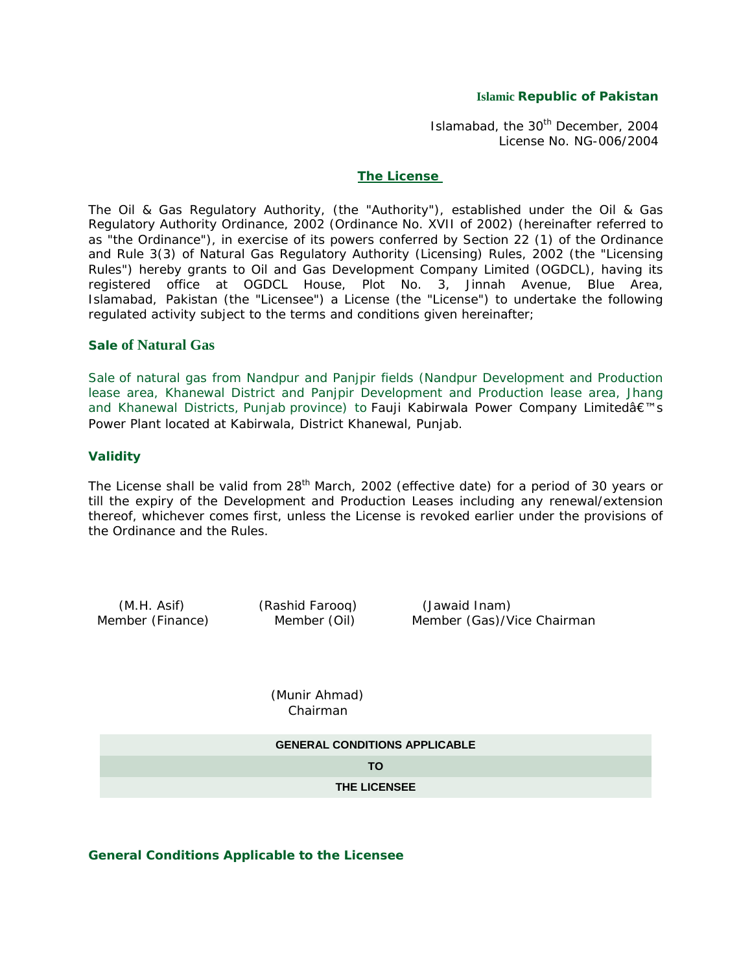## **Islamic Republic of Pakistan**

Islamabad, the 30<sup>th</sup> December, 2004 License No. NG-006/2004

#### **The License**

The Oil & Gas Regulatory Authority, (the "Authority"), established under the Oil & Gas Regulatory Authority Ordinance, 2002 (Ordinance No. XVII of 2002) (hereinafter referred to as "the Ordinance"), in exercise of its powers conferred by Section 22 (1) of the Ordinance and Rule 3(3) of Natural Gas Regulatory Authority (Licensing) Rules, 2002 (the "Licensing Rules") hereby grants to Oil and Gas Development Company Limited (OGDCL), having its registered office at OGDCL House, Plot No. 3, Jinnah Avenue, Blue Area, Islamabad, Pakistan (the "Licensee") a License (the "License") to undertake the following regulated activity subject to the terms and conditions given hereinafter;

## **Sale of Natural Gas**

Sale of natural gas from Nandpur and Panjpir fields (Nandpur Development and Production lease area, Khanewal District and Panjpir Development and Production lease area, Jhang and Khanewal Districts, Punjab province) to Fauji Kabirwala Power Company Limitedâ€<sup>™</sup>s Power Plant located at Kabirwala, District Khanewal, Punjab.

## **Validity**

The License shall be valid from 28<sup>th</sup> March, 2002 (effective date) for a period of 30 years or till the expiry of the Development and Production Leases including any renewal/extension thereof, whichever comes first, unless the License is revoked earlier under the provisions of the Ordinance and the Rules.

 (M.H. Asif) (Rashid Farooq) (Jawaid Inam) Member (Finance) Member (Oil) Member (Gas)/Vice Chairman

> (Munir Ahmad) Chairman

# **GENERAL CONDITIONS APPLICABLE TO THE LICENSEE**

## **General Conditions Applicable to the Licensee**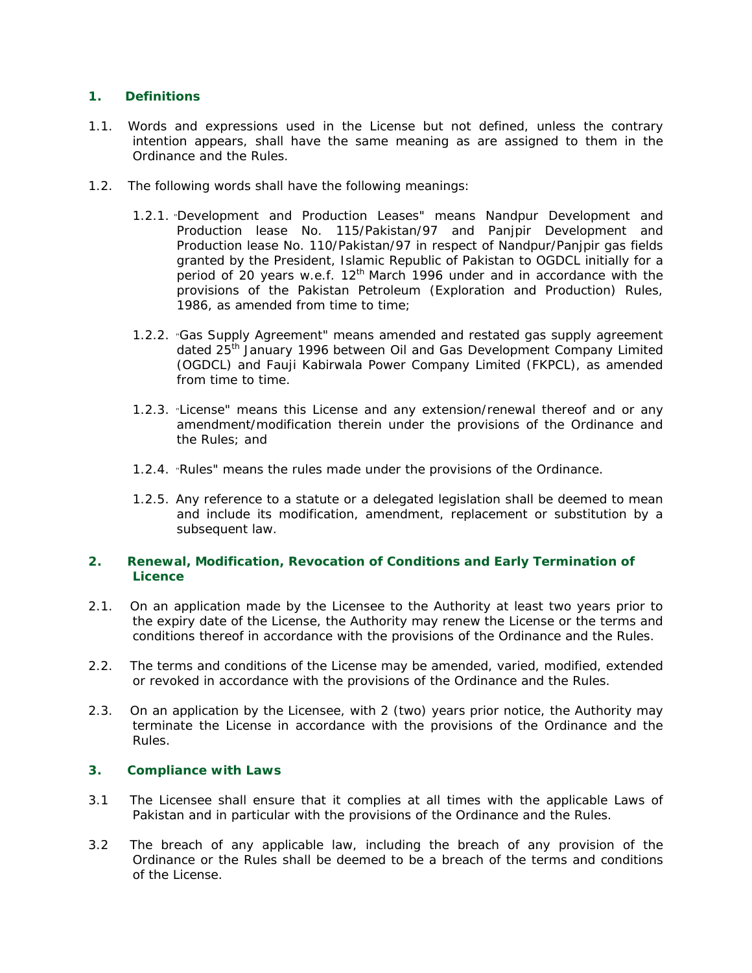# **1. Definitions**

- 1.1. Words and expressions used in the License but not defined, unless the contrary intention appears, shall have the same meaning as are assigned to them in the Ordinance and the Rules.
- 1.2. The following words shall have the following meanings:
	- 1.2.1. "Development and Production Leases" means Nandpur Development and Production lease No. 115/Pakistan/97 and Panjpir Development and Production lease No. 110/Pakistan/97 in respect of Nandpur/Panjpir gas fields granted by the President, Islamic Republic of Pakistan to OGDCL initially for a period of 20 years w.e.f. 12<sup>th</sup> March 1996 under and in accordance with the provisions of the Pakistan Petroleum (Exploration and Production) Rules, 1986, as amended from time to time;
	- 1.2.2. "Gas Supply Agreement" means amended and restated gas supply agreement dated 25th January 1996 between Oil and Gas Development Company Limited (OGDCL) and Fauji Kabirwala Power Company Limited (FKPCL), as amended from time to time.
	- 1.2.3. "License" means this License and any extension/renewal thereof and or any amendment/modification therein under the provisions of the Ordinance and the Rules; and
	- 1.2.4. "Rules" means the rules made under the provisions of the Ordinance.
	- 1.2.5. Any reference to a statute or a delegated legislation shall be deemed to mean and include its modification, amendment, replacement or substitution by a subsequent law.

# **2. Renewal, Modification, Revocation of Conditions and Early Termination of Licence**

- 2.1. On an application made by the Licensee to the Authority at least two years prior to the expiry date of the License, the Authority may renew the License or the terms and conditions thereof in accordance with the provisions of the Ordinance and the Rules.
- 2.2. The terms and conditions of the License may be amended, varied, modified, extended or revoked in accordance with the provisions of the Ordinance and the Rules.
- 2.3. On an application by the Licensee, with 2 (two) years prior notice, the Authority may terminate the License in accordance with the provisions of the Ordinance and the Rules.

# **3. Compliance with Laws**

- 3.1 The Licensee shall ensure that it complies at all times with the applicable Laws of Pakistan and in particular with the provisions of the Ordinance and the Rules.
- 3.2 The breach of any applicable law, including the breach of any provision of the Ordinance or the Rules shall be deemed to be a breach of the terms and conditions of the License.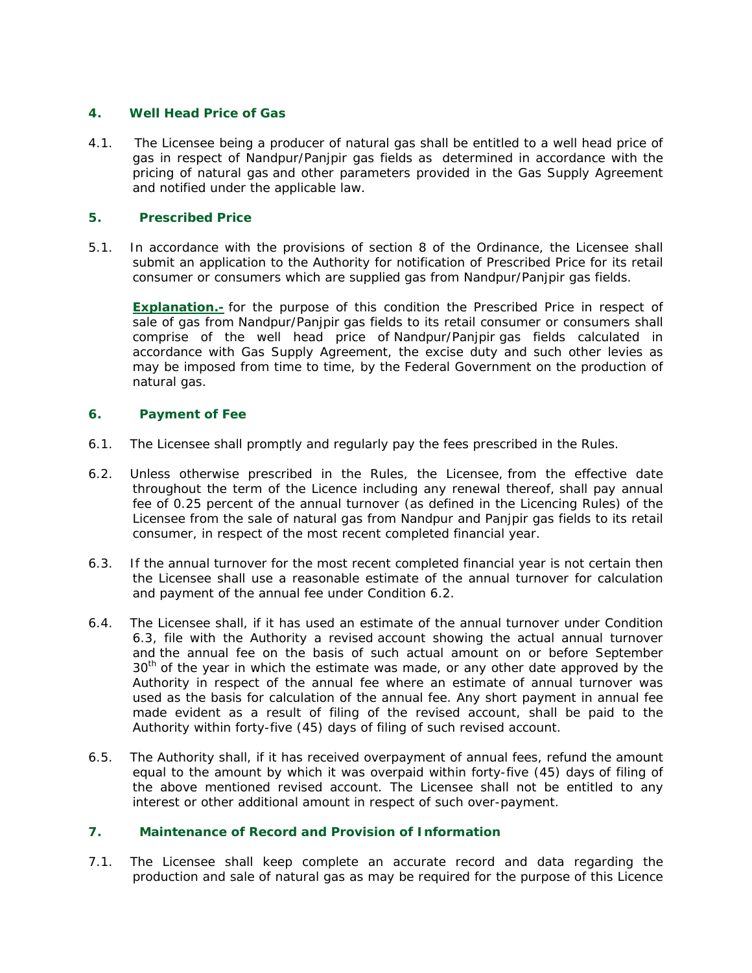# **4. Well Head Price of Gas**

4.1. The Licensee being a producer of natural gas shall be entitled to a well head price of gas in respect of Nandpur/Panjpir gas fields as determined in accordance with the pricing of natural gas and other parameters provided in the Gas Supply Agreement and notified under the applicable law.

## **5. Prescribed Price**

5.1. In accordance with the provisions of section 8 of the Ordinance, the Licensee shall submit an application to the Authority for notification of Prescribed Price for its retail consumer or consumers which are supplied gas from Nandpur/Panjpir gas fields.

**Explanation.-** for the purpose of this condition the Prescribed Price in respect of sale of gas from Nandpur/Panjpir gas fields to its retail consumer or consumers shall comprise of the well head price of Nandpur/Panjpir gas fields calculated in accordance with Gas Supply Agreement, the excise duty and such other levies as may be imposed from time to time, by the Federal Government on the production of natural gas.

# **6. Payment of Fee**

- 6.1. The Licensee shall promptly and regularly pay the fees prescribed in the Rules.
- 6.2. Unless otherwise prescribed in the Rules, the Licensee, from the effective date throughout the term of the Licence including any renewal thereof, shall pay annual fee of 0.25 percent of the annual turnover (as defined in the Licencing Rules) of the Licensee from the sale of natural gas from Nandpur and Panjpir gas fields to its retail consumer, in respect of the most recent completed financial year.
- 6.3. If the annual turnover for the most recent completed financial year is not certain then the Licensee shall use a reasonable estimate of the annual turnover for calculation and payment of the annual fee under Condition 6.2.
- 6.4. The Licensee shall, if it has used an estimate of the annual turnover under Condition 6.3, file with the Authority a revised account showing the actual annual turnover and the annual fee on the basis of such actual amount on or before September 30<sup>th</sup> of the year in which the estimate was made, or any other date approved by the Authority in respect of the annual fee where an estimate of annual turnover was used as the basis for calculation of the annual fee. Any short payment in annual fee made evident as a result of filing of the revised account, shall be paid to the Authority within forty-five (45) days of filing of such revised account.
- 6.5. The Authority shall, if it has received overpayment of annual fees, refund the amount equal to the amount by which it was overpaid within forty-five (45) days of filing of the above mentioned revised account. The Licensee shall not be entitled to any interest or other additional amount in respect of such over-payment.

# **7. Maintenance of Record and Provision of Information**

7.1. The Licensee shall keep complete an accurate record and data regarding the production and sale of natural gas as may be required for the purpose of this Licence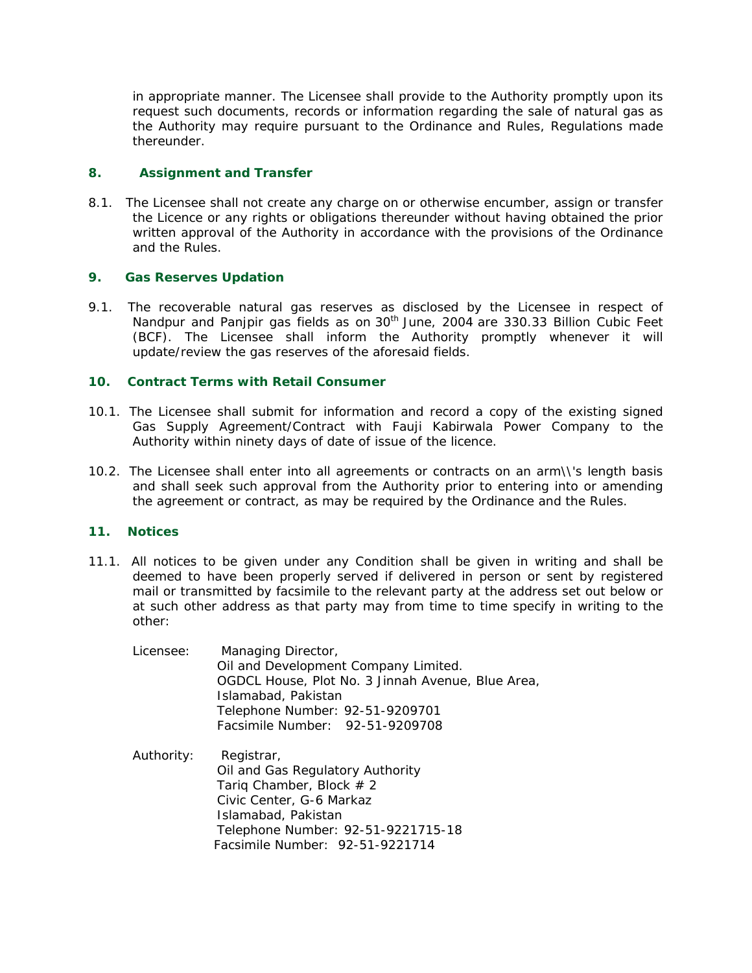in appropriate manner. The Licensee shall provide to the Authority promptly upon its request such documents, records or information regarding the sale of natural gas as the Authority may require pursuant to the Ordinance and Rules, Regulations made thereunder.

# **8. Assignment and Transfer**

8.1. The Licensee shall not create any charge on or otherwise encumber, assign or transfer the Licence or any rights or obligations thereunder without having obtained the prior written approval of the Authority in accordance with the provisions of the Ordinance and the Rules.

# **9. Gas Reserves Updation**

9.1. The recoverable natural gas reserves as disclosed by the Licensee in respect of Nandpur and Panjpir gas fields as on 30<sup>th</sup> June, 2004 are 330.33 Billion Cubic Feet (BCF). The Licensee shall inform the Authority promptly whenever it will update/review the gas reserves of the aforesaid fields.

# **10. Contract Terms with Retail Consumer**

- 10.1. The Licensee shall submit for information and record a copy of the existing signed Gas Supply Agreement/Contract with Fauji Kabirwala Power Company to the Authority within ninety days of date of issue of the licence.
- 10.2. The Licensee shall enter into all agreements or contracts on an arm\\'s length basis and shall seek such approval from the Authority prior to entering into or amending the agreement or contract, as may be required by the Ordinance and the Rules.

# **11. Notices**

11.1. All notices to be given under any Condition shall be given in writing and shall be deemed to have been properly served if delivered in person or sent by registered mail or transmitted by facsimile to the relevant party at the address set out below or at such other address as that party may from time to time specify in writing to the other:

| Licensee: | Managing Director,                                |
|-----------|---------------------------------------------------|
|           | Oil and Development Company Limited.              |
|           | OGDCL House, Plot No. 3 Jinnah Avenue, Blue Area, |
|           | Islamabad, Pakistan                               |
|           | Telephone Number: 92-51-9209701                   |
|           | Facsimile Number: 92-51-9209708                   |
|           |                                                   |

Authority: Registrar, Oil and Gas Regulatory Authority Tariq Chamber, Block  $# 2$  Civic Center, G-6 Markaz Islamabad, Pakistan Telephone Number: 92-51-9221715-18 Facsimile Number: 92-51-9221714